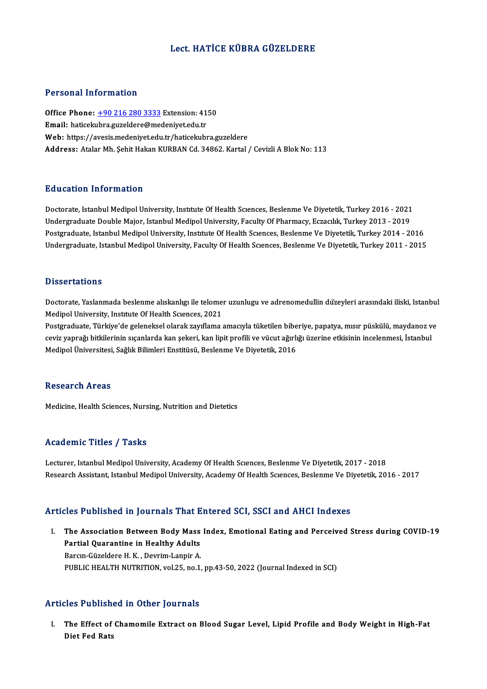# Lect.HATİCE KÜBRA GÜZELDERE

## Personal Information

Personal Information<br>Office Phone: <u>+90 216 280 3333</u> Extension: 4150<br>Email: haticolubre gugeldere@modeniust.cdu.tr Personar Information<br>Office Phone: <u>+90 216 280 3333</u> Extension: 41<br>Email: haticek[ubra.guzeldere@me](tel:+90 216 280 3333)deniyet.edu.tr Email: haticekubra.guzeldere@medeniyet.edu.tr<br>Web: https://avesis.medeniyet.edu.tr/haticekubra.guzeldere Address: Atalar Mh. Sehit Hakan KURBAN Cd. 34862. Kartal / Cevizli A Blok No: 113

## Education Information

Education Information<br>Doctorate, Istanbul Medipol University, Institute Of Health Sciences, Beslenme Ve Diyetetik, Turkey 2016 - 2021<br>Undergraduate Double Maior, Istanbul Medinel University, Eaculty Of Pharmagy, Essaelly, Undergraduate Information<br>Doctorate, Istanbul Medipol University, Institute Of Health Sciences, Beslenme Ve Diyetetik, Turkey 2016 - 2021<br>Undergraduate, Istanbul Medinal University, Institute Of Health Sciences, Beslanme V Doctorate, Istanbul Medipol University, Institute Of Health Sciences, Beslenme Ve Diyetetik, Turkey 2016 - 2021<br>Undergraduate Double Major, Istanbul Medipol University, Faculty Of Pharmacy, Eczacilik, Turkey 2013 - 2019<br>Po Undergraduate Double Major, Istanbul Medipol University, Faculty Of Pharmacy, Eczacılık, Turkey 2013 - 2019<br>Postgraduate, Istanbul Medipol University, Institute Of Health Sciences, Beslenme Ve Diyetetik, Turkey 2014 - 2016

## **Dissertations**

Dissertations<br>Doctorate, Yaslanmada beslenme alıskanlıgı ile telomer uzunlugu ve adrenomedullin düzeyleri arasındaki iliski, Istanbul<br>Medinel University Jastityte Of Heelth Savages, 2021 *D'issex* tations<br>Doctorate, Yaslanmada beslenme alıskanlıgı ile telome<br>Medipol University, Institute Of Health Sciences, 2021<br>Postanaduate, Türkiye'de geleneksel alanak sevrflama Doctorate, Yaslanmada beslenme alıskanlıgı ile telomer uzunlugu ve adrenomedullin düzeyleri arasındaki iliski, Istanbul<br>Medipol University, Institute Of Health Sciences, 2021<br>Postgraduate, Türkiye'de geleneksel olarak zayı

Medipol University, Institute Of Health Sciences, 2021<br>Postgraduate, Türkiye'de geleneksel olarak zayıflama amacıyla tüketilen biberiye, papatya, mısır püskülü, maydanoz v<br>çeviz yaprağı bitkilerinin sıçanlarda kan şekeri, ceviz yaprağı bitkilerinin sıçanlarda kan şekeri, kan lipit profili ve vücut ağırlığı üzerine etkisinin incelenmesi, İstanbul<br>Medipol Üniversitesi, Sağlık Bilimleri Enstitüsü, Beslenme Ve Diyetetik, 2016

#### Research Areas

Medicine, Health Sciences, Nursing, Nutrition and Dietetics

## Academic Titles / Tasks

Lecturer, Istanbul Medipol University, Academy Of Health Sciences, Beslenme Ve Diyetetik, 2017 - 2018 Research Assistant, Istanbul Medipol University, Academy Of Health Sciences, Beslenme Ve Diyetetik, 2016 - 2017

### Articles Published in Journals That Entered SCI, SSCI and AHCI Indexes

rticles Published in Journals That Entered SCI, SSCI and AHCI Indexes<br>I. The Association Between Body Mass Index, Emotional Eating and Perceived Stress during COVID-19<br>Partial Quaranting in Hoalthy Adulta Partial Quarantine in Journalis Time<br>The Association Between Body Mass<br>Partial Quarantine in Healthy Adults<br>Parem Cüzeldere H. K., Deurim Lannir A The Association Between Body Mass<br>Partial Quarantine in Healthy Adults<br>Barcın-Güzeldere H.K., Devrim-Lanpir A.<br>BUBLIC HEALTH NUTBITION Vol.25, no.1. Partial Quarantine in Healthy Adults<br>Barcın-Güzeldere H. K., Devrim-Lanpir A.<br>PUBLIC HEALTH NUTRITION, vol.25, no.1, pp.43-50, 2022 (Journal Indexed in SCI)

## Articles Published in Other Journals

rticles Published in Other Journals<br>I. The Effect of Chamomile Extract on Blood Sugar Level, Lipid Profile and Body Weight in High-Fat<br>Rist Eed Bets The Effect of<br>Diet Fed Rats<br>Diet Fed Rats